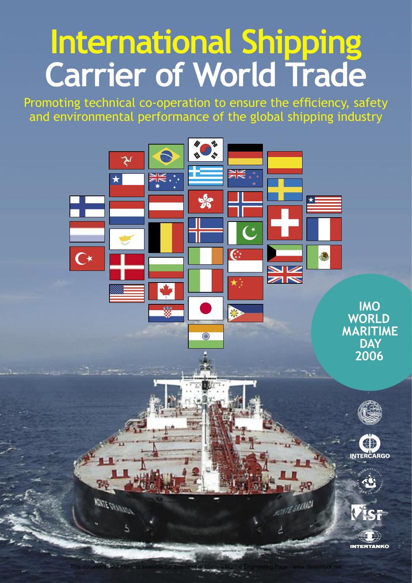# **International Shipping Carrier of World Trade**

Promoting technical co-operation to ensure the efficiency, safety and environmental performance of the global shipping industry

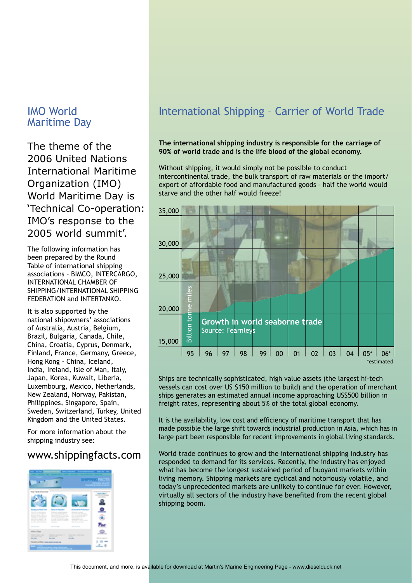## IMO World Maritime Day

The theme of the 2006 United Nations International Maritime Organization (IMO) World Maritime Day is 'Technical Co-operation: IMO's response to the 2005 world summit'.

The following information has been prepared by the Round Table of international shipping associations – BIMCO, INTERCARGO, INTERNATIONAL CHAMBER OF SHIPPING/INTERNATIONAL SHIPPING FEDERATION and INTERTANKO.

It is also supported by the national shipowners' associations of Australia, Austria, Belgium, Brazil, Bulgaria, Canada, Chile, China, Croatia, Cyprus, Denmark, Finland, France, Germany, Greece, Hong Kong - China, Iceland, India, Ireland, Isle of Man, Italy, Japan, Korea, Kuwait, Liberia, Luxembourg, Mexico, Netherlands, New Zealand, Norway, Pakistan, Philippines, Singapore, Spain, Sweden, Switzerland, Turkey, United Kingdom and the United States.

For more information about the shipping industry see:

## www.shippingfacts.com



# International Shipping – Carrier of World Trade

#### **The international shipping industry is responsible for the carriage of 90% of world trade and is the life blood of the global economy.**

Without shipping, it would simply not be possible to conduct intercontinental trade, the bulk transport of raw materials or the import/ export of affordable food and manufactured goods – half the world would starve and the other half would freeze!



Ships are technically sophisticated, high value assets (the largest hi-tech vessels can cost over US \$150 million to build) and the operation of merchant ships generates an estimated annual income approaching US\$500 billion in freight rates, representing about 5% of the total global economy.

It is the availability, low cost and efficiency of maritime transport that has made possible the large shift towards industrial production in Asia, which has in large part been responsible for recent improvements in global living standards.

World trade continues to grow and the international shipping industry has responded to demand for its services. Recently, the industry has enjoyed what has become the longest sustained period of buoyant markets within living memory. Shipping markets are cyclical and notoriously volatile, and today's unprecedented markets are unlikely to continue for ever. However, virtually all sectors of the industry have benefited from the recent global shipping boom.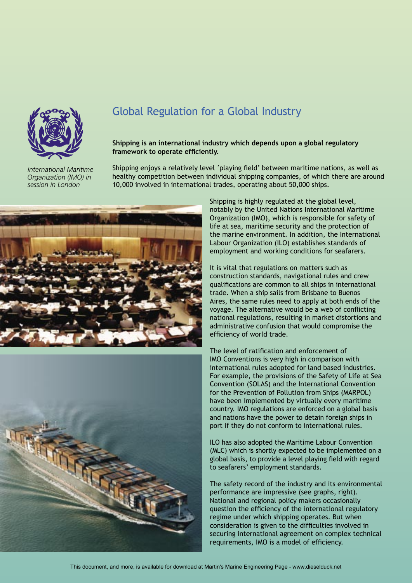

*International Maritime Organization (IMO) in session in London*

# Global Regulation for a Global Industry

#### **Shipping is an international industry which depends upon a global regulatory framework to operate efficiently.**

Shipping enjoys a relatively level 'playing field' between maritime nations, as well as healthy competition between individual shipping companies, of which there are around 10,000 involved in international trades, operating about 50,000 ships.





Shipping is highly regulated at the global level, notably by the United Nations International Maritime Organization (IMO), which is responsible for safety of life at sea, maritime security and the protection of the marine environment. In addition, the International Labour Organization (ILO) establishes standards of employment and working conditions for seafarers.

It is vital that regulations on matters such as construction standards, navigational rules and crew qualifications are common to all ships in international trade. When a ship sails from Brisbane to Buenos Aires, the same rules need to apply at both ends of the voyage. The alternative would be a web of conflicting national regulations, resulting in market distortions and administrative confusion that would compromise the efficiency of world trade.

The level of ratification and enforcement of IMO Conventions is very high in comparison with international rules adopted for land based industries. For example, the provisions of the Safety of Life at Sea Convention (SOLAS) and the International Convention for the Prevention of Pollution from Ships (MARPOL) have been implemented by virtually every maritime country. IMO regulations are enforced on a global basis and nations have the power to detain foreign ships in port if they do not conform to international rules.

ILO has also adopted the Maritime Labour Convention (MLC) which is shortly expected to be implemented on a global basis, to provide a level playing field with regard to seafarers' employment standards.

The safety record of the industry and its environmental performance are impressive (see graphs, right). National and regional policy makers occasionally question the efficiency of the international regulatory regime under which shipping operates. But when consideration is given to the difficulties involved in securing international agreement on complex technical requirements, IMO is a model of efficiency.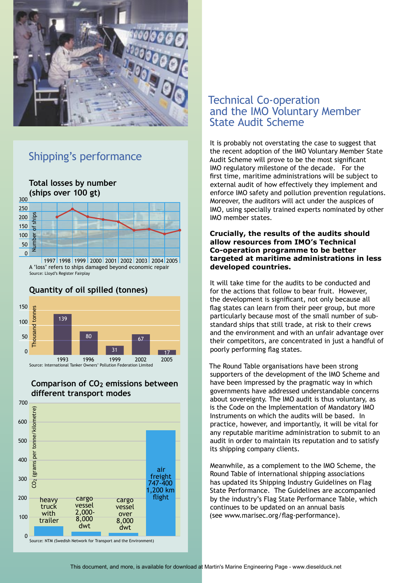

## Shipping's performance



#### **Quantity of oil spilled (tonnes)**



#### **Comparison of CO2 emissions between different transport modes**



### Technical Co-operation and the IMO Voluntary Member State Audit Scheme

It is probably not overstating the case to suggest that the recent adoption of the IMO Voluntary Member State Audit Scheme will prove to be the most significant IMO regulatory milestone of the decade. For the first time, maritime administrations will be subject to external audit of how effectively they implement and enforce IMO safety and pollution prevention regulations. Moreover, the auditors will act under the auspices of IMO, using specially trained experts nominated by other IMO member states.

#### **Crucially, the results of the audits should allow resources from IMO's Technical Co-operation programme to be better targeted at maritime administrations in less developed countries.**

It will take time for the audits to be conducted and for the actions that follow to bear fruit. However, the development is significant, not only because all flag states can learn from their peer group, but more particularly because most of the small number of substandard ships that still trade, at risk to their crews and the environment and with an unfair advantage over their competitors, are concentrated in just a handful of poorly performing flag states.

The Round Table organisations have been strong supporters of the development of the IMO Scheme and have been impressed by the pragmatic way in which governments have addressed understandable concerns about sovereignty. The IMO audit is thus voluntary, as is the Code on the Implementation of Mandatory IMO Instruments on which the audits will be based. In practice, however, and importantly, it will be vital for any reputable maritime administration to submit to an audit in order to maintain its reputation and to satisfy its shipping company clients.

Meanwhile, as a complement to the IMO Scheme, the Round Table of international shipping associations has updated its Shipping Industry Guidelines on Flag State Performance. The Guidelines are accompanied by the industry's Flag State Performance Table, which continues to be updated on an annual basis (see www.marisec.org/flag-performance).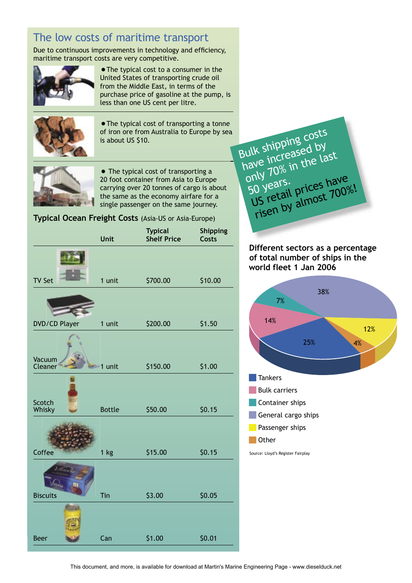# The low costs of maritime transport

Due to continuous improvements in technology and efficiency, maritime transport costs are very competitive.



•The typical cost to a consumer in the United States of transporting crude oil from the Middle East, in terms of the purchase price of gasoline at the pump, is less than one US cent per litre.



•The typical cost of transporting a tonne of iron ore from Australia to Europe by sea is about US \$10.



• The typical cost of transporting a 20 foot container from Asia to Europe carrying over 20 tonnes of cargo is about the same as the economy airfare for a single passenger on the same journey.

#### **Typical Ocean Freight Costs** (Asia-US or Asia-Europe)

|                      | Unit          | <b>Typical</b><br><b>Shelf Price</b> | Shipping<br><b>Costs</b> |
|----------------------|---------------|--------------------------------------|--------------------------|
|                      |               |                                      |                          |
| <b>TV Set</b>        | 1 unit        | \$700.00                             | \$10.00                  |
|                      |               |                                      |                          |
| <b>DVD/CD Player</b> | 1 unit        | \$200.00                             | \$1.50                   |
| Vacuum               |               |                                      |                          |
| Cleaner              | 1 unit        | \$150.00                             | \$1.00                   |
| Scotch<br>Whisky     | <b>Bottle</b> | \$50.00                              | \$0.15                   |
|                      |               |                                      |                          |
| Coffee               | $1$ kg        | \$15.00                              | \$0.15                   |
|                      |               |                                      |                          |
| <b>Biscuits</b>      | Tin           | \$3.00                               | \$0.05                   |
|                      |               |                                      |                          |
| <b>Beer</b>          | Can           | \$1.00                               | \$0.01                   |
|                      |               |                                      |                          |

Bulk shipping costs Bulk shippinsed by<br>have increased by  $\frac{1}{10}$  increased last<br>have increased last 50 years.<br>50 years.<br>US retail prices have risen by almost 700%!

#### **Different sectors as a percentage of total number of ships in the world fleet 1 Jan 2006**